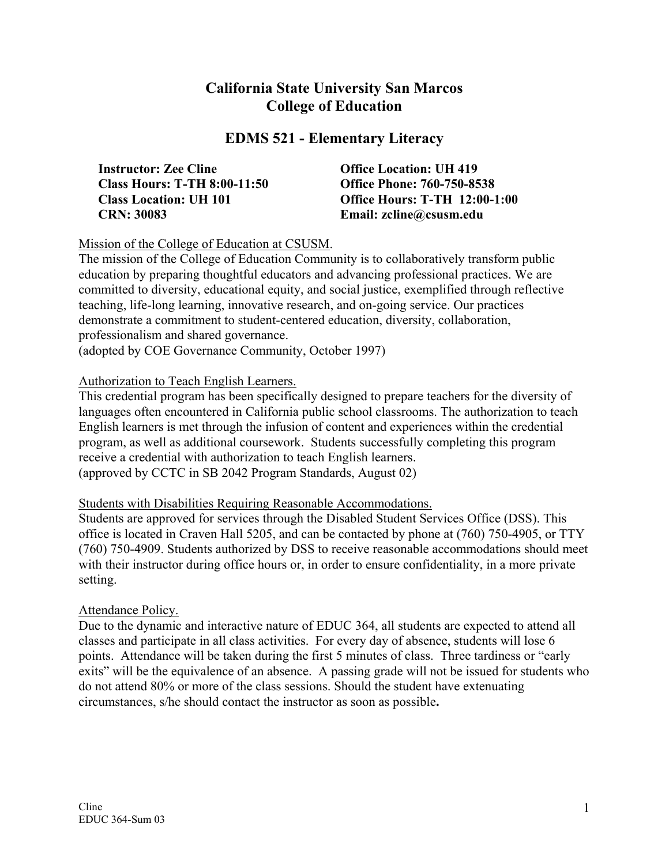# **California State University San Marcos College of Education**

## **EDMS 521 - Elementary Literacy**

| <b>Instructor: Zee Cline</b>        |
|-------------------------------------|
| <b>Class Hours: T-TH 8:00-11:50</b> |
| <b>Class Location: UH 101</b>       |
| <b>CRN: 30083</b>                   |

**Office Location: UH 419 Class Christ Colore: 760-750-8538 Class Christ Control Control Control Office Hours: T-TH 12:00-1:00 CRN: 30083 Email: zcline@csusm.edu** 

### Mission of the College of Education at CSUSM.

The mission of the College of Education Community is to collaboratively transform public education by preparing thoughtful educators and advancing professional practices. We are committed to diversity, educational equity, and social justice, exemplified through reflective teaching, life-long learning, innovative research, and on-going service. Our practices demonstrate a commitment to student-centered education, diversity, collaboration, professionalism and shared governance.

(adopted by COE Governance Community, October 1997)

### Authorization to Teach English Learners.

This credential program has been specifically designed to prepare teachers for the diversity of languages often encountered in California public school classrooms. The authorization to teach English learners is met through the infusion of content and experiences within the credential program, as well as additional coursework. Students successfully completing this program receive a credential with authorization to teach English learners. (approved by CCTC in SB 2042 Program Standards, August 02)

### Students with Disabilities Requiring Reasonable Accommodations.

Students are approved for services through the Disabled Student Services Office (DSS). This office is located in Craven Hall 5205, and can be contacted by phone at (760) 750-4905, or TTY (760) 750-4909. Students authorized by DSS to receive reasonable accommodations should meet with their instructor during office hours or, in order to ensure confidentiality, in a more private setting.

### Attendance Policy.

Due to the dynamic and interactive nature of EDUC 364, all students are expected to attend all classes and participate in all class activities. For every day of absence, students will lose 6 points. Attendance will be taken during the first 5 minutes of class. Three tardiness or "early exits" will be the equivalence of an absence. A passing grade will not be issued for students who do not attend 80% or more of the class sessions. Should the student have extenuating circumstances, s/he should contact the instructor as soon as possible**.**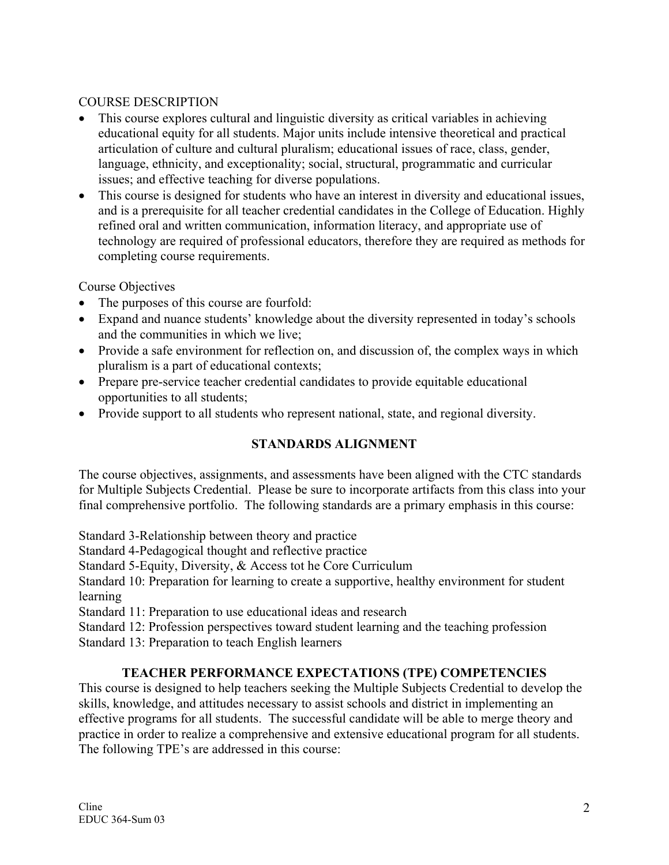## COURSE DESCRIPTION

- This course explores cultural and linguistic diversity as critical variables in achieving educational equity for all students. Major units include intensive theoretical and practical articulation of culture and cultural pluralism; educational issues of race, class, gender, language, ethnicity, and exceptionality; social, structural, programmatic and curricular issues; and effective teaching for diverse populations.
- This course is designed for students who have an interest in diversity and educational issues, and is a prerequisite for all teacher credential candidates in the College of Education. Highly refined oral and written communication, information literacy, and appropriate use of technology are required of professional educators, therefore they are required as methods for completing course requirements.

Course Objectives

- The purposes of this course are fourfold:
- Expand and nuance students' knowledge about the diversity represented in today's schools and the communities in which we live;
- Provide a safe environment for reflection on, and discussion of, the complex ways in which pluralism is a part of educational contexts;
- Prepare pre-service teacher credential candidates to provide equitable educational opportunities to all students;
- Provide support to all students who represent national, state, and regional diversity.

## **STANDARDS ALIGNMENT**

The course objectives, assignments, and assessments have been aligned with the CTC standards for Multiple Subjects Credential. Please be sure to incorporate artifacts from this class into your final comprehensive portfolio. The following standards are a primary emphasis in this course:

Standard 3-Relationship between theory and practice

Standard 4-Pedagogical thought and reflective practice

Standard 5-Equity, Diversity, & Access tot he Core Curriculum

Standard 10: Preparation for learning to create a supportive, healthy environment for student learning

Standard 11: Preparation to use educational ideas and research

Standard 12: Profession perspectives toward student learning and the teaching profession

Standard 13: Preparation to teach English learners

## **TEACHER PERFORMANCE EXPECTATIONS (TPE) COMPETENCIES**

This course is designed to help teachers seeking the Multiple Subjects Credential to develop the skills, knowledge, and attitudes necessary to assist schools and district in implementing an effective programs for all students. The successful candidate will be able to merge theory and practice in order to realize a comprehensive and extensive educational program for all students. The following TPE's are addressed in this course: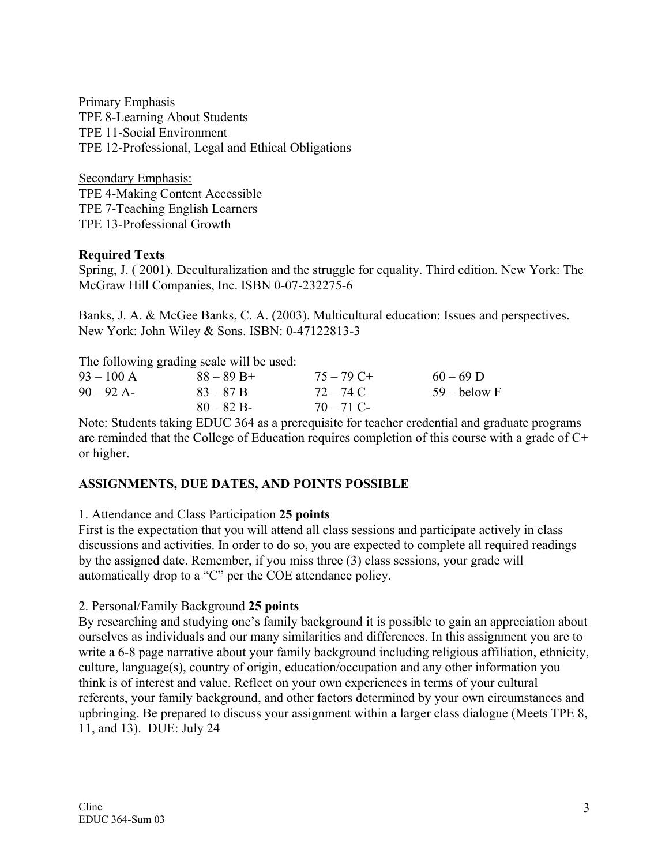Primary Emphasis TPE 8-Learning About Students TPE 11-Social Environment TPE 12-Professional, Legal and Ethical Obligations

Secondary Emphasis: TPE 4-Making Content Accessible TPE 7-Teaching English Learners TPE 13-Professional Growth

#### **Required Texts**

Spring, J. ( 2001). Deculturalization and the struggle for equality. Third edition. New York: The McGraw Hill Companies, Inc. ISBN 0-07-232275-6

Banks, J. A. & McGee Banks, C. A. (2003). Multicultural education: Issues and perspectives. New York: John Wiley & Sons. ISBN: 0-47122813-3

The following grading scale will be used:

|              | The following grading beare will be about. |              |                |
|--------------|--------------------------------------------|--------------|----------------|
| $93 - 100$ A | $88 - 89$ B+                               | $75 - 79$ C+ | $60 - 69$ D    |
| $90 - 92$ A- | $83 - 87 B$                                | 72 – 74 C    | $59 -$ below F |
|              | $80 - 82 B$                                | $70 - 71$ C  |                |
|              |                                            |              |                |

Note: Students taking EDUC 364 as a prerequisite for teacher credential and graduate programs are reminded that the College of Education requires completion of this course with a grade of C+ or higher.

## **ASSIGNMENTS, DUE DATES, AND POINTS POSSIBLE**

### 1. Attendance and Class Participation **25 points**

First is the expectation that you will attend all class sessions and participate actively in class discussions and activities. In order to do so, you are expected to complete all required readings by the assigned date. Remember, if you miss three (3) class sessions, your grade will automatically drop to a "C" per the COE attendance policy.

2. Personal/Family Background **25 points**

By researching and studying one's family background it is possible to gain an appreciation about ourselves as individuals and our many similarities and differences. In this assignment you are to write a 6-8 page narrative about your family background including religious affiliation, ethnicity, culture, language(s), country of origin, education/occupation and any other information you think is of interest and value. Reflect on your own experiences in terms of your cultural referents, your family background, and other factors determined by your own circumstances and upbringing. Be prepared to discuss your assignment within a larger class dialogue (Meets TPE 8, 11, and 13). DUE: July 24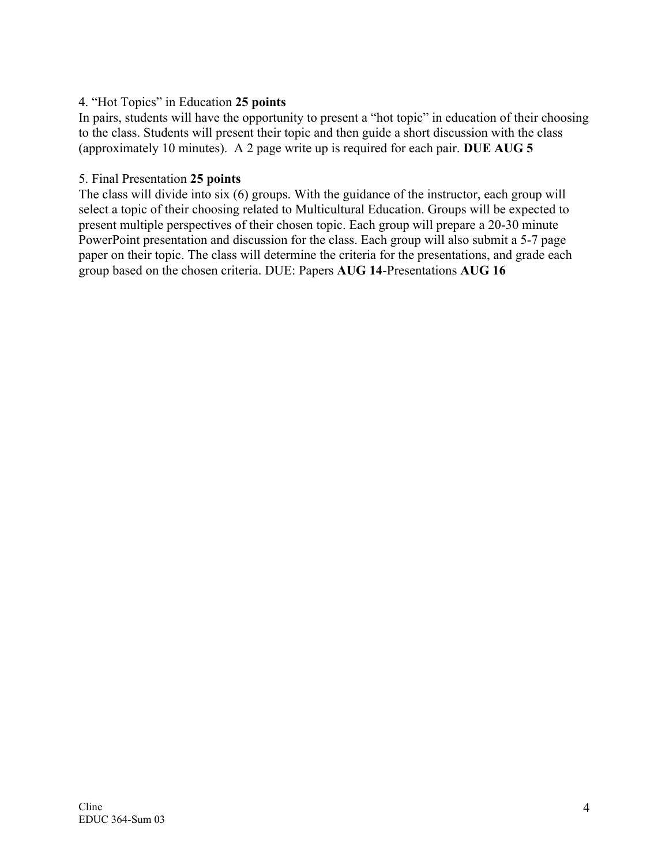## 4. "Hot Topics" in Education **25 points**

In pairs, students will have the opportunity to present a "hot topic" in education of their choosing to the class. Students will present their topic and then guide a short discussion with the class (approximately 10 minutes). A 2 page write up is required for each pair. **DUE AUG 5**

#### 5. Final Presentation **25 points**

The class will divide into six (6) groups. With the guidance of the instructor, each group will select a topic of their choosing related to Multicultural Education. Groups will be expected to present multiple perspectives of their chosen topic. Each group will prepare a 20-30 minute PowerPoint presentation and discussion for the class. Each group will also submit a 5-7 page paper on their topic. The class will determine the criteria for the presentations, and grade each group based on the chosen criteria. DUE: Papers **AUG 14**-Presentations **AUG 16**